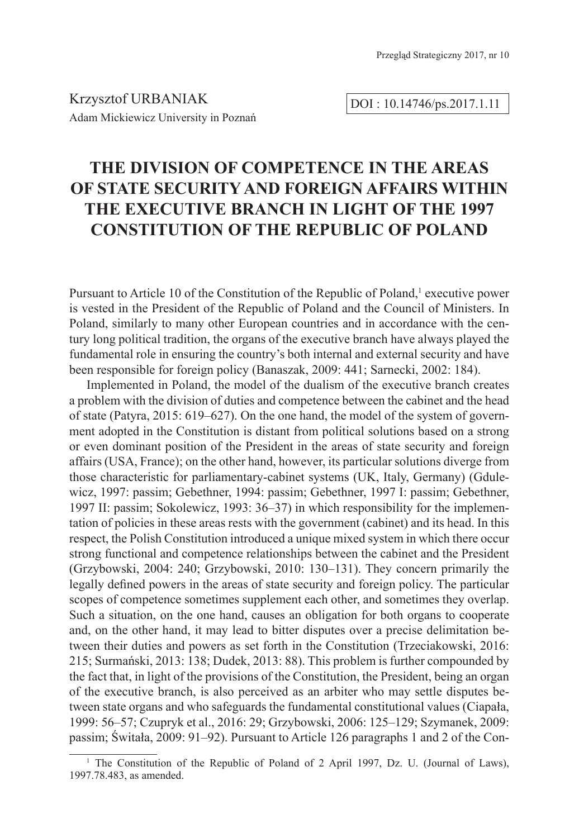DOI : 10.14746/ps.2017.1.11

# **THE DIVISION OF COMPETENCE IN THE AREAS OF STATE SECURITY AND FOREIGN AFFAIRS WITHIN THE EXECUTIVE BRANCH IN LIGHT OF THE 1997 CONSTITUTION OF THE REPUBLIC OF POLAND**

Pursuant to Article 10 of the Constitution of the Republic of Poland,<sup>1</sup> executive power is vested in the President of the Republic of Poland and the Council of Ministers. In Poland, similarly to many other European countries and in accordance with the century long political tradition, the organs of the executive branch have always played the fundamental role in ensuring the country's both internal and external security and have been responsible for foreign policy (Banaszak, 2009: 441; Sarnecki, 2002: 184).

Implemented in Poland, the model of the dualism of the executive branch creates a problem with the division of duties and competence between the cabinet and the head of state (Patyra, 2015: 619–627). On the one hand, the model of the system of government adopted in the Constitution is distant from political solutions based on a strong or even dominant position of the President in the areas of state security and foreign affairs (USA, France); on the other hand, however, its particular solutions diverge from those characteristic for parliamentary-cabinet systems (UK, Italy, Germany) (Gdulewicz, 1997: passim; Gebethner, 1994: passim; Gebethner, 1997 I: passim; Gebethner, 1997 II: passim; Sokolewicz, 1993: 36–37) in which responsibility for the implementation of policies in these areas rests with the government (cabinet) and its head. In this respect, the Polish Constitution introduced a unique mixed system in which there occur strong functional and competence relationships between the cabinet and the President (Grzybowski, 2004: 240; Grzybowski, 2010: 130–131). They concern primarily the legally defined powers in the areas of state security and foreign policy. The particular scopes of competence sometimes supplement each other, and sometimes they overlap. Such a situation, on the one hand, causes an obligation for both organs to cooperate and, on the other hand, it may lead to bitter disputes over a precise delimitation between their duties and powers as set forth in the Constitution (Trzeciakowski, 2016: 215; Surmański, 2013: 138; Dudek, 2013: 88). This problem is further compounded by the fact that, in light of the provisions of the Constitution, the President, being an organ of the executive branch, is also perceived as an arbiter who may settle disputes between state organs and who safeguards the fundamental constitutional values (Ciapała, 1999: 56–57; Czupryk et al., 2016: 29; Grzybowski, 2006: 125–129; Szymanek, 2009: passim; Świtała, 2009: 91–92). Pursuant to Article 126 paragraphs 1 and 2 of the Con-

<sup>&</sup>lt;sup>1</sup> The Constitution of the Republic of Poland of 2 April 1997, Dz. U. (Journal of Laws), 1997.78.483, as amended.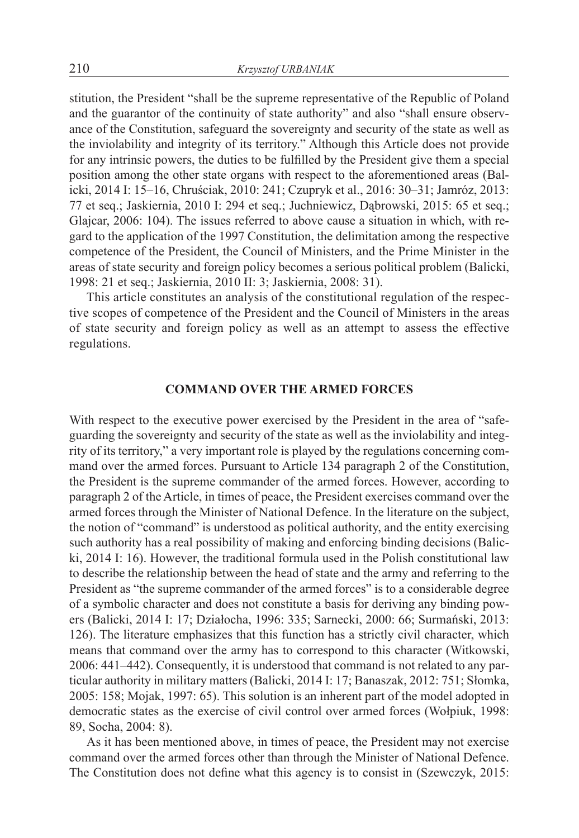stitution, the President "shall be the supreme representative of the Republic of Poland and the guarantor of the continuity of state authority" and also "shall ensure observance of the Constitution, safeguard the sovereignty and security of the state as well as the inviolability and integrity of its territory." Although this Article does not provide for any intrinsic powers, the duties to be fulfilled by the President give them a special position among the other state organs with respect to the aforementioned areas (Balicki, 2014 I: 15–16, Chruściak, 2010: 241; Czupryk et al., 2016: 30–31; Jamróz, 2013: 77 et seq.; Jaskiernia, 2010 I: 294 et seq.; Juchniewicz, Dąbrowski, 2015: 65 et seq.; Glajcar, 2006: 104). The issues referred to above cause a situation in which, with regard to the application of the 1997 Constitution, the delimitation among the respective competence of the President, the Council of Ministers, and the Prime Minister in the areas of state security and foreign policy becomes a serious political problem (Balicki, 1998: 21 et seq.; Jaskiernia, 2010 II: 3; Jaskiernia, 2008: 31).

This article constitutes an analysis of the constitutional regulation of the respective scopes of competence of the President and the Council of Ministers in the areas of state security and foreign policy as well as an attempt to assess the effective regulations.

#### **COMMAND OVER THE ARMED FORCES**

With respect to the executive power exercised by the President in the area of "safeguarding the sovereignty and security of the state as well as the inviolability and integrity of its territory," a very important role is played by the regulations concerning command over the armed forces. Pursuant to Article 134 paragraph 2 of the Constitution, the President is the supreme commander of the armed forces. However, according to paragraph 2 of the Article, in times of peace, the President exercises command over the armed forces through the Minister of National Defence. In the literature on the subject, the notion of "command" is understood as political authority, and the entity exercising such authority has a real possibility of making and enforcing binding decisions (Balicki, 2014 I: 16). However, the traditional formula used in the Polish constitutional law to describe the relationship between the head of state and the army and referring to the President as "the supreme commander of the armed forces" is to a considerable degree of a symbolic character and does not constitute a basis for deriving any binding powers (Balicki, 2014 I: 17; Działocha, 1996: 335; Sarnecki, 2000: 66; Surmański, 2013: 126). The literature emphasizes that this function has a strictly civil character, which means that command over the army has to correspond to this character (Witkowski, 2006: 441–442). Consequently, it is understood that command is not related to any particular authority in military matters (Balicki, 2014 I: 17; Banaszak, 2012: 751; Słomka, 2005: 158; Mojak, 1997: 65). This solution is an inherent part of the model adopted in democratic states as the exercise of civil control over armed forces (Wołpiuk, 1998: 89, Socha, 2004: 8).

As it has been mentioned above, in times of peace, the President may not exercise command over the armed forces other than through the Minister of National Defence. The Constitution does not define what this agency is to consist in (Szewczyk, 2015: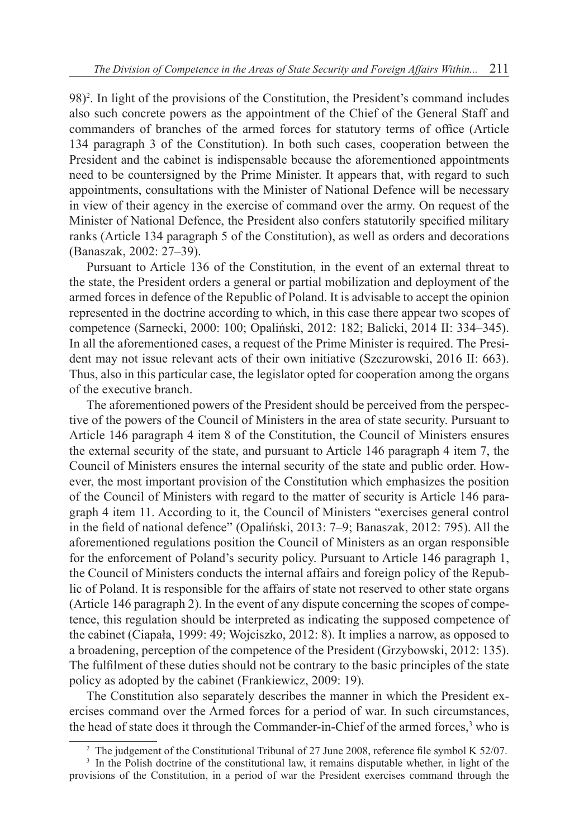98)<sup>2</sup>. In light of the provisions of the Constitution, the President's command includes also such concrete powers as the appointment of the Chief of the General Staff and commanders of branches of the armed forces for statutory terms of office (Article 134 paragraph 3 of the Constitution). In both such cases, cooperation between the President and the cabinet is indispensable because the aforementioned appointments need to be countersigned by the Prime Minister. It appears that, with regard to such appointments, consultations with the Minister of National Defence will be necessary in view of their agency in the exercise of command over the army. On request of the Minister of National Defence, the President also confers statutorily specified military ranks (Article 134 paragraph 5 of the Constitution), as well as orders and decorations (Banaszak, 2002: 27–39).

Pursuant to Article 136 of the Constitution, in the event of an external threat to the state, the President orders a general or partial mobilization and deployment of the armed forces in defence of the Republic of Poland. It is advisable to accept the opinion represented in the doctrine according to which, in this case there appear two scopes of competence (Sarnecki, 2000: 100; Opaliński, 2012: 182; Balicki, 2014 II: 334–345). In all the aforementioned cases, a request of the Prime Minister is required. The President may not issue relevant acts of their own initiative (Szczurowski, 2016 II: 663). Thus, also in this particular case, the legislator opted for cooperation among the organs of the executive branch.

The aforementioned powers of the President should be perceived from the perspective of the powers of the Council of Ministers in the area of state security. Pursuant to Article 146 paragraph 4 item 8 of the Constitution, the Council of Ministers ensures the external security of the state, and pursuant to Article 146 paragraph 4 item 7, the Council of Ministers ensures the internal security of the state and public order. However, the most important provision of the Constitution which emphasizes the position of the Council of Ministers with regard to the matter of security is Article 146 paragraph 4 item 11. According to it, the Council of Ministers "exercises general control in the field of national defence" (Opaliński, 2013: 7–9; Banaszak, 2012: 795). All the aforementioned regulations position the Council of Ministers as an organ responsible for the enforcement of Poland's security policy. Pursuant to Article 146 paragraph 1, the Council of Ministers conducts the internal affairs and foreign policy of the Republic of Poland. It is responsible for the affairs of state not reserved to other state organs (Article 146 paragraph 2). In the event of any dispute concerning the scopes of competence, this regulation should be interpreted as indicating the supposed competence of the cabinet (Ciapała, 1999: 49; Wojciszko, 2012: 8). It implies a narrow, as opposed to a broadening, perception of the competence of the President (Grzybowski, 2012: 135). The fulfilment of these duties should not be contrary to the basic principles of the state policy as adopted by the cabinet (Frankiewicz, 2009: 19).

The Constitution also separately describes the manner in which the President exercises command over the Armed forces for a period of war. In such circumstances, the head of state does it through the Commander-in-Chief of the armed forces,<sup>3</sup> who is

<sup>&</sup>lt;sup>2</sup> The judgement of the Constitutional Tribunal of 27 June 2008, reference file symbol K 52/07.

<sup>&</sup>lt;sup>3</sup> In the Polish doctrine of the constitutional law, it remains disputable whether, in light of the provisions of the Constitution, in a period of war the President exercises command through the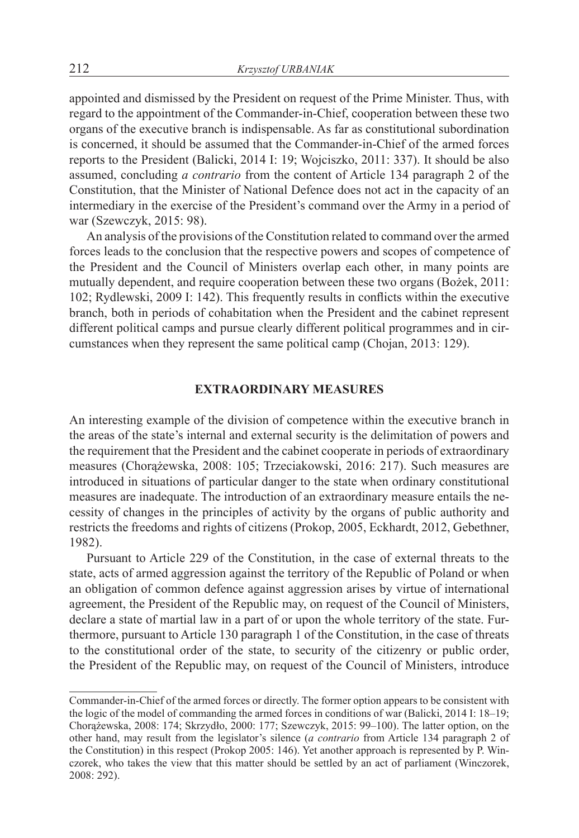appointed and dismissed by the President on request of the Prime Minister. Thus, with regard to the appointment of the Commander-in-Chief, cooperation between these two organs of the executive branch is indispensable. As far as constitutional subordination is concerned, it should be assumed that the Commander-in-Chief of the armed forces reports to the President (Balicki, 2014 I: 19; Wojciszko, 2011: 337). It should be also assumed, concluding *a contrario* from the content of Article 134 paragraph 2 of the Constitution, that the Minister of National Defence does not act in the capacity of an intermediary in the exercise of the President's command over the Army in a period of war (Szewczyk, 2015: 98).

An analysis of the provisions of the Constitution related to command over the armed forces leads to the conclusion that the respective powers and scopes of competence of the President and the Council of Ministers overlap each other, in many points are mutually dependent, and require cooperation between these two organs (Bożek, 2011: 102; Rydlewski, 2009 I: 142). This frequently results in conflicts within the executive branch, both in periods of cohabitation when the President and the cabinet represent different political camps and pursue clearly different political programmes and in circumstances when they represent the same political camp (Chojan, 2013: 129).

### **EXTRAORDINARY MEASURES**

An interesting example of the division of competence within the executive branch in the areas of the state's internal and external security is the delimitation of powers and the requirement that the President and the cabinet cooperate in periods of extraordinary measures (Chorążewska, 2008: 105; Trzeciakowski, 2016: 217). Such measures are introduced in situations of particular danger to the state when ordinary constitutional measures are inadequate. The introduction of an extraordinary measure entails the necessity of changes in the principles of activity by the organs of public authority and restricts the freedoms and rights of citizens (Prokop, 2005, Eckhardt, 2012, Gebethner, 1982).

Pursuant to Article 229 of the Constitution, in the case of external threats to the state, acts of armed aggression against the territory of the Republic of Poland or when an obligation of common defence against aggression arises by virtue of international agreement, the President of the Republic may, on request of the Council of Ministers, declare a state of martial law in a part of or upon the whole territory of the state. Furthermore, pursuant to Article 130 paragraph 1 of the Constitution, in the case of threats to the constitutional order of the state, to security of the citizenry or public order, the President of the Republic may, on request of the Council of Ministers, introduce

Commander-in-Chief of the armed forces or directly. The former option appears to be consistent with the logic of the model of commanding the armed forces in conditions of war (Balicki, 2014 I: 18–19; Chorążewska, 2008: 174; Skrzydło, 2000: 177; Szewczyk, 2015: 99–100). The latter option, on the other hand, may result from the legislator's silence (*a contrario* from Article 134 paragraph 2 of the Constitution) in this respect (Prokop 2005: 146). Yet another approach is represented by P. Winczorek, who takes the view that this matter should be settled by an act of parliament (Winczorek, 2008: 292).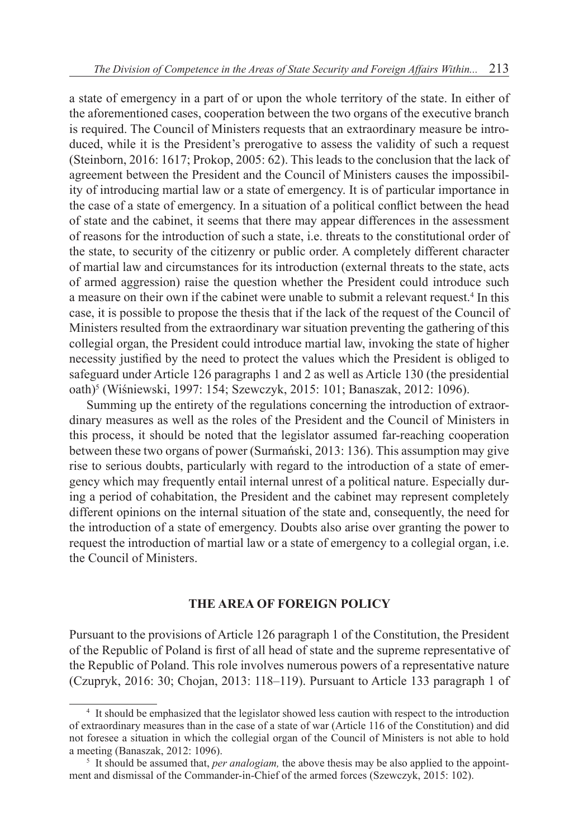a state of emergency in a part of or upon the whole territory of the state. In either of the aforementioned cases, cooperation between the two organs of the executive branch is required. The Council of Ministers requests that an extraordinary measure be introduced, while it is the President's prerogative to assess the validity of such a request (Steinborn, 2016: 1617; Prokop, 2005: 62). This leads to the conclusion that the lack of agreement between the President and the Council of Ministers causes the impossibility of introducing martial law or a state of emergency. It is of particular importance in the case of a state of emergency. In a situation of a political conflict between the head of state and the cabinet, it seems that there may appear differences in the assessment of reasons for the introduction of such a state, i.e. threats to the constitutional order of the state, to security of the citizenry or public order. A completely different character of martial law and circumstances for its introduction (external threats to the state, acts of armed aggression) raise the question whether the President could introduce such a measure on their own if the cabinet were unable to submit a relevant request.<sup>4</sup> In this case, it is possible to propose the thesis that if the lack of the request of the Council of Ministers resulted from the extraordinary war situation preventing the gathering of this collegial organ, the President could introduce martial law, invoking the state of higher necessity justified by the need to protect the values which the President is obliged to safeguard under Article 126 paragraphs 1 and 2 as well as Article 130 (the presidential oath)<sup>5</sup> (Wiśniewski, 1997: 154; Szewczyk, 2015: 101; Banaszak, 2012: 1096).

Summing up the entirety of the regulations concerning the introduction of extraordinary measures as well as the roles of the President and the Council of Ministers in this process, it should be noted that the legislator assumed far-reaching cooperation between these two organs of power (Surmański, 2013: 136). This assumption may give rise to serious doubts, particularly with regard to the introduction of a state of emergency which may frequently entail internal unrest of a political nature. Especially during a period of cohabitation, the President and the cabinet may represent completely different opinions on the internal situation of the state and, consequently, the need for the introduction of a state of emergency. Doubts also arise over granting the power to request the introduction of martial law or a state of emergency to a collegial organ, i.e. the Council of Ministers.

## **THE AREA OF FOREIGN POLICY**

Pursuant to the provisions of Article 126 paragraph 1 of the Constitution, the President of the Republic of Poland is first of all head of state and the supreme representative of the Republic of Poland. This role involves numerous powers of a representative nature (Czupryk, 2016: 30; Chojan, 2013: 118–119). Pursuant to Article 133 paragraph 1 of

<sup>4</sup> It should be emphasized that the legislator showed less caution with respect to the introduction of extraordinary measures than in the case of a state of war (Article 116 of the Constitution) and did not foresee a situation in which the collegial organ of the Council of Ministers is not able to hold a meeting (Banaszak, 2012: 1096).

<sup>5</sup> It should be assumed that, *per analogiam,* the above thesis may be also applied to the appointment and dismissal of the Commander-in-Chief of the armed forces (Szewczyk, 2015: 102).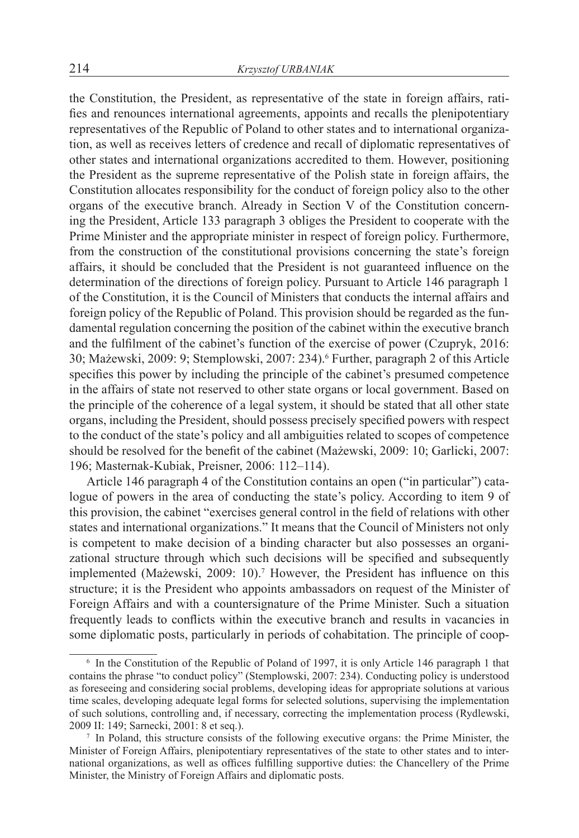the Constitution, the President, as representative of the state in foreign affairs, ratifies and renounces international agreements, appoints and recalls the plenipotentiary representatives of the Republic of Poland to other states and to international organization, as well as receives letters of credence and recall of diplomatic representatives of other states and international organizations accredited to them. However, positioning the President as the supreme representative of the Polish state in foreign affairs, the Constitution allocates responsibility for the conduct of foreign policy also to the other organs of the executive branch. Already in Section V of the Constitution concerning the President, Article 133 paragraph 3 obliges the President to cooperate with the Prime Minister and the appropriate minister in respect of foreign policy. Furthermore, from the construction of the constitutional provisions concerning the state's foreign affairs, it should be concluded that the President is not guaranteed influence on the determination of the directions of foreign policy. Pursuant to Article 146 paragraph 1 of the Constitution, it is the Council of Ministers that conducts the internal affairs and foreign policy of the Republic of Poland. This provision should be regarded as the fundamental regulation concerning the position of the cabinet within the executive branch and the fulfilment of the cabinet's function of the exercise of power (Czupryk, 2016: 30; Mażewski, 2009: 9; Stemplowski, 2007: 234).<sup>6</sup> Further, paragraph 2 of this Article specifies this power by including the principle of the cabinet's presumed competence in the affairs of state not reserved to other state organs or local government. Based on the principle of the coherence of a legal system, it should be stated that all other state organs, including the President, should possess precisely specified powers with respect to the conduct of the state's policy and all ambiguities related to scopes of competence should be resolved for the benefit of the cabinet (Mażewski, 2009: 10; Garlicki, 2007: 196; Masternak-Kubiak, Preisner, 2006: 112–114).

Article 146 paragraph 4 of the Constitution contains an open ("in particular") catalogue of powers in the area of conducting the state's policy. According to item 9 of this provision, the cabinet "exercises general control in the field of relations with other states and international organizations." It means that the Council of Ministers not only is competent to make decision of a binding character but also possesses an organizational structure through which such decisions will be specified and subsequently implemented (Mażewski, 2009: 10).<sup>7</sup> However, the President has influence on this structure; it is the President who appoints ambassadors on request of the Minister of Foreign Affairs and with a countersignature of the Prime Minister. Such a situation frequently leads to conflicts within the executive branch and results in vacancies in some diplomatic posts, particularly in periods of cohabitation. The principle of coop-

<sup>6</sup> In the Constitution of the Republic of Poland of 1997, it is only Article 146 paragraph 1 that contains the phrase "to conduct policy" (Stemplowski, 2007: 234). Conducting policy is understood as foreseeing and considering social problems, developing ideas for appropriate solutions at various time scales, developing adequate legal forms for selected solutions, supervising the implementation of such solutions, controlling and, if necessary, correcting the implementation process (Rydlewski, 2009 II: 149; Sarnecki, 2001: 8 et seq.).

<sup>7</sup> In Poland, this structure consists of the following executive organs: the Prime Minister, the Minister of Foreign Affairs, plenipotentiary representatives of the state to other states and to international organizations, as well as offices fulfilling supportive duties: the Chancellery of the Prime Minister, the Ministry of Foreign Affairs and diplomatic posts.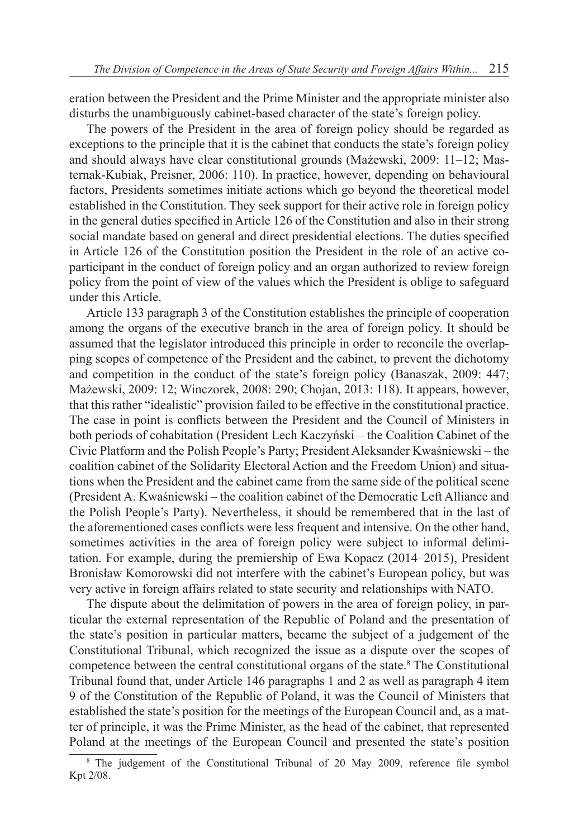eration between the President and the Prime Minister and the appropriate minister also disturbs the unambiguously cabinet-based character of the state's foreign policy.

The powers of the President in the area of foreign policy should be regarded as exceptions to the principle that it is the cabinet that conducts the state's foreign policy and should always have clear constitutional grounds (Mażewski, 2009: 11–12; Masternak-Kubiak, Preisner, 2006: 110). In practice, however, depending on behavioural factors, Presidents sometimes initiate actions which go beyond the theoretical model established in the Constitution. They seek support for their active role in foreign policy in the general duties specified in Article 126 of the Constitution and also in their strong social mandate based on general and direct presidential elections. The duties specified in Article 126 of the Constitution position the President in the role of an active coparticipant in the conduct of foreign policy and an organ authorized to review foreign policy from the point of view of the values which the President is oblige to safeguard under this Article.

Article 133 paragraph 3 of the Constitution establishes the principle of cooperation among the organs of the executive branch in the area of foreign policy. It should be assumed that the legislator introduced this principle in order to reconcile the overlapping scopes of competence of the President and the cabinet, to prevent the dichotomy and competition in the conduct of the state's foreign policy (Banaszak, 2009: 447; Mażewski, 2009: 12; Winczorek, 2008: 290; Chojan, 2013: 118). It appears, however, that this rather "idealistic" provision failed to be effective in the constitutional practice. The case in point is conflicts between the President and the Council of Ministers in both periods of cohabitation (President Lech Kaczyński – the Coalition Cabinet of the Civic Platform and the Polish People's Party; President Aleksander Kwaśniewski – the coalition cabinet of the Solidarity Electoral Action and the Freedom Union) and situations when the President and the cabinet came from the same side of the political scene (President A. Kwaśniewski – the coalition cabinet of the Democratic Left Alliance and the Polish People's Party). Nevertheless, it should be remembered that in the last of the aforementioned cases conflicts were less frequent and intensive. On the other hand, sometimes activities in the area of foreign policy were subject to informal delimitation. For example, during the premiership of Ewa Kopacz (2014–2015), President Bronisław Komorowski did not interfere with the cabinet's European policy, but was very active in foreign affairs related to state security and relationships with NATO.

The dispute about the delimitation of powers in the area of foreign policy, in particular the external representation of the Republic of Poland and the presentation of the state's position in particular matters, became the subject of a judgement of the Constitutional Tribunal, which recognized the issue as a dispute over the scopes of competence between the central constitutional organs of the state.<sup>8</sup> The Constitutional Tribunal found that, under Article 146 paragraphs 1 and 2 as well as paragraph 4 item 9 of the Constitution of the Republic of Poland, it was the Council of Ministers that established the state's position for the meetings of the European Council and, as a matter of principle, it was the Prime Minister, as the head of the cabinet, that represented Poland at the meetings of the European Council and presented the state's position

<sup>&</sup>lt;sup>8</sup> The judgement of the Constitutional Tribunal of 20 May 2009, reference file symbol Kpt 2/08.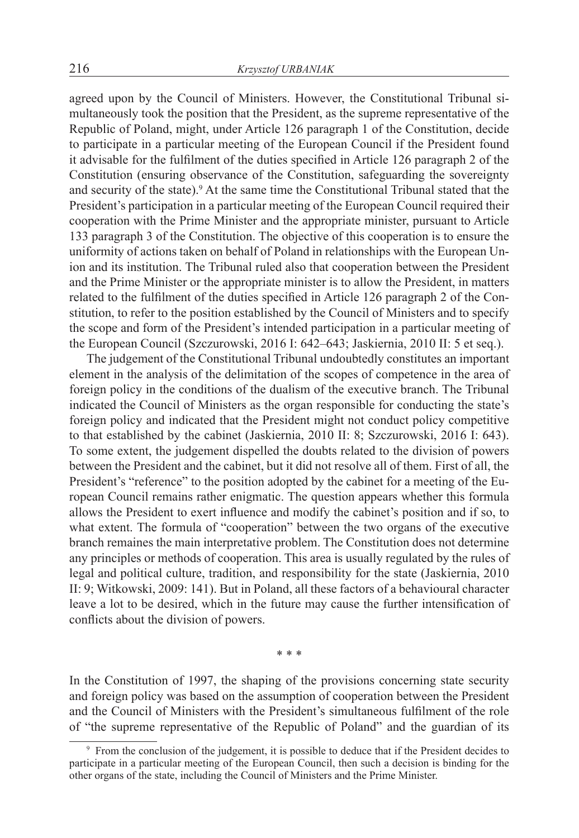agreed upon by the Council of Ministers. However, the Constitutional Tribunal simultaneously took the position that the President, as the supreme representative of the Republic of Poland, might, under Article 126 paragraph 1 of the Constitution, decide to participate in a particular meeting of the European Council if the President found it advisable for the fulfilment of the duties specified in Article 126 paragraph 2 of the Constitution (ensuring observance of the Constitution, safeguarding the sovereignty and security of the state).<sup>9</sup> At the same time the Constitutional Tribunal stated that the President's participation in a particular meeting of the European Council required their cooperation with the Prime Minister and the appropriate minister, pursuant to Article 133 paragraph 3 of the Constitution. The objective of this cooperation is to ensure the uniformity of actions taken on behalf of Poland in relationships with the European Union and its institution. The Tribunal ruled also that cooperation between the President and the Prime Minister or the appropriate minister is to allow the President, in matters related to the fulfilment of the duties specified in Article 126 paragraph 2 of the Constitution, to refer to the position established by the Council of Ministers and to specify the scope and form of the President's intended participation in a particular meeting of the European Council (Szczurowski, 2016 I: 642–643; Jaskiernia, 2010 II: 5 et seq.).

The judgement of the Constitutional Tribunal undoubtedly constitutes an important element in the analysis of the delimitation of the scopes of competence in the area of foreign policy in the conditions of the dualism of the executive branch. The Tribunal indicated the Council of Ministers as the organ responsible for conducting the state's foreign policy and indicated that the President might not conduct policy competitive to that established by the cabinet (Jaskiernia, 2010 II: 8; Szczurowski, 2016 I: 643). To some extent, the judgement dispelled the doubts related to the division of powers between the President and the cabinet, but it did not resolve all of them. First of all, the President's "reference" to the position adopted by the cabinet for a meeting of the European Council remains rather enigmatic. The question appears whether this formula allows the President to exert influence and modify the cabinet's position and if so, to what extent. The formula of "cooperation" between the two organs of the executive branch remaines the main interpretative problem. The Constitution does not determine any principles or methods of cooperation. This area is usually regulated by the rules of legal and political culture, tradition, and responsibility for the state (Jaskiernia, 2010 II: 9; Witkowski, 2009: 141). But in Poland, all these factors of a behavioural character leave a lot to be desired, which in the future may cause the further intensification of conflicts about the division of powers.

\* \* \*

In the Constitution of 1997, the shaping of the provisions concerning state security and foreign policy was based on the assumption of cooperation between the President and the Council of Ministers with the President's simultaneous fulfilment of the role of "the supreme representative of the Republic of Poland" and the guardian of its

<sup>9</sup> From the conclusion of the judgement, it is possible to deduce that if the President decides to participate in a particular meeting of the European Council, then such a decision is binding for the other organs of the state, including the Council of Ministers and the Prime Minister.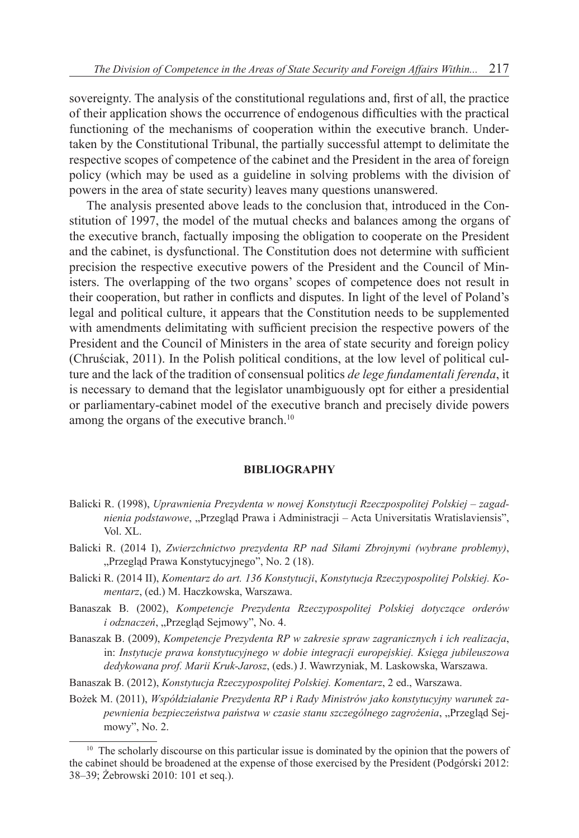sovereignty. The analysis of the constitutional regulations and, first of all, the practice of their application shows the occurrence of endogenous difficulties with the practical functioning of the mechanisms of cooperation within the executive branch. Undertaken by the Constitutional Tribunal, the partially successful attempt to delimitate the respective scopes of competence of the cabinet and the President in the area of foreign policy (which may be used as a guideline in solving problems with the division of powers in the area of state security) leaves many questions unanswered.

The analysis presented above leads to the conclusion that, introduced in the Constitution of 1997, the model of the mutual checks and balances among the organs of the executive branch, factually imposing the obligation to cooperate on the President and the cabinet, is dysfunctional. The Constitution does not determine with sufficient precision the respective executive powers of the President and the Council of Ministers. The overlapping of the two organs' scopes of competence does not result in their cooperation, but rather in conflicts and disputes. In light of the level of Poland's legal and political culture, it appears that the Constitution needs to be supplemented with amendments delimitating with sufficient precision the respective powers of the President and the Council of Ministers in the area of state security and foreign policy (Chruściak, 2011). In the Polish political conditions, at the low level of political culture and the lack of the tradition of consensual politics *de lege fundamentali ferenda*, it is necessary to demand that the legislator unambiguously opt for either a presidential or parliamentary-cabinet model of the executive branch and precisely divide powers among the organs of the executive branch.<sup>10</sup>

#### **BIBLIOGRAPHY**

- Balicki R. (1998), *Uprawnienia Prezydenta w nowej Konstytucji Rzeczpospolitej Polskiej zagad*nienia podstawowe, "Przegląd Prawa i Administracji – Acta Universitatis Wratislaviensis", Vol. XL.
- Balicki R. (2014 I), *Zwierzchnictwo prezydenta RP nad Siłami Zbrojnymi (wybrane problemy)*, "Przegląd Prawa Konstytucyjnego", No. 2 (18).
- Balicki R. (2014 II), *Komentarz do art. 136 Konstytucji*, *Konstytucja Rzeczypospolitej Polskiej. Komentarz*, (ed.) M. Haczkowska, Warszawa.
- Banaszak B. (2002), *Kompetencje Prezydenta Rzeczypospolitej Polskiej dotyczące orderów i odznaczeń*, "Przegląd Sejmowy", No. 4.
- Banaszak B. (2009), *Kompetencje Prezydenta RP w zakresie spraw zagranicznych i ich realizacja*, in: *Instytucje prawa konstytucyjnego w dobie integracji europejskiej. Księga jubileuszowa dedykowana prof. Marii Kruk-Jarosz*, (eds.) J. Wawrzyniak, M. Laskowska, Warszawa.
- Banaszak B. (2012), *Konstytucja Rzeczypospolitej Polskiej. Komentarz*, 2 ed., Warszawa.
- Bożek M. (2011), *Współdziałanie Prezydenta RP i Rady Ministrów jako konstytucyjny warunek zapewnienia bezpieczeństwa państwa w czasie stanu szczególnego zagrożenia*, "Przegląd Sejmowy", No. 2.

<sup>&</sup>lt;sup>10</sup> The scholarly discourse on this particular issue is dominated by the opinion that the powers of the cabinet should be broadened at the expense of those exercised by the President (Podgórski 2012: 38–39; Żebrowski 2010: 101 et seq.).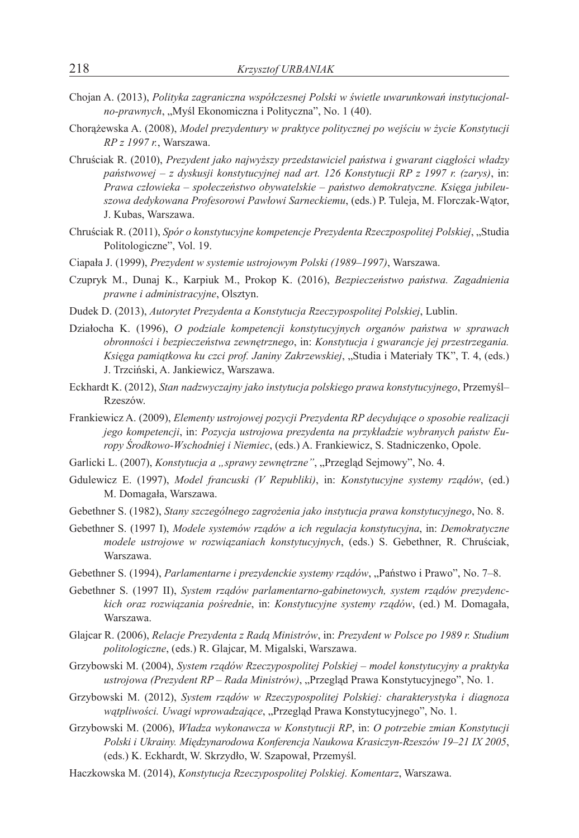- Chojan A. (2013), *Polityka zagraniczna współczesnej Polski w świetle uwarunkowań instytucjonalno-prawnych*, "Myśl Ekonomiczna i Polityczna", No. 1 (40).
- Chorążewska A. (2008), *Model prezydentury w praktyce politycznej po wejściu w życie Konstytucji RP z 1997 r.*, Warszawa.
- Chruściak R. (2010), *Prezydent jako najwyższy przedstawiciel państwa i gwarant ciągłości władzy państwowej – z dyskusji konstytucyjnej nad art. 126 Konstytucji RP z 1997 r. (zarys)*, in: *Prawa człowieka – społeczeństwo obywatelskie – państwo demokratyczne. Księga jubileuszowa dedykowana Profesorowi Pawłowi Sarneckiemu*, (eds.) P. Tuleja, M. Florczak-Wątor, J. Kubas, Warszawa.
- Chruściak R. (2011), *Spór o konstytucyjne kompetencje Prezydenta Rzeczpospolitej Polskiej*, "Studia Politologiczne", Vol. 19.
- Ciapała J. (1999), *Prezydent w systemie ustrojowym Polski (1989–1997)*, Warszawa.
- Czupryk M., Dunaj K., Karpiuk M., Prokop K. (2016), *Bezpieczeństwo państwa. Zagadnienia prawne i administracyjne*, Olsztyn.
- Dudek D. (2013), *Autorytet Prezydenta a Konstytucja Rzeczypospolitej Polskiej*, Lublin.
- Działocha K. (1996), *O podziale kompetencji konstytucyjnych organów państwa w sprawach obronności i bezpieczeństwa zewnętrznego*, in: *Konstytucja i gwarancje jej przestrzegania. Księga pamiątkowa ku czci prof. Janiny Zakrzewskiej*, "Studia i Materiały TK", T. 4, (eds.) J. Trzciński, A. Jankiewicz, Warszawa.
- Eckhardt K. (2012), *Stan nadzwyczajny jako instytucja polskiego prawa konstytucyjnego*, Przemyśl– Rzeszów.
- Frankiewicz A. (2009), *Elementy ustrojowej pozycji Prezydenta RP decydujące o sposobie realizacji jego kompetencji*, in: *Pozycja ustrojowa prezydenta na przykładzie wybranych państw Europy Środkowo-Wschodniej i Niemiec*, (eds.) A. Frankiewicz, S. Stadniczenko, Opole.
- Garlicki L. (2007), *Konstytucja a "sprawy zewnętrzne"*, "Przegląd Sejmowy", No. 4.
- Gdulewicz E. (1997), *Model francuski (V Republiki)*, in: *Konstytucyjne systemy rządów*, (ed.) M. Domagała, Warszawa.
- Gebethner S. (1982), *Stany szczególnego zagrożenia jako instytucja prawa konstytucyjnego*, No. 8.
- Gebethner S. (1997 I), *Modele systemów rządów a ich regulacja konstytucyjna*, in: *Demokratyczne modele ustrojowe w rozwiązaniach konstytucyjnych*, (eds.) S. Gebethner, R. Chruściak, Warszawa.
- Gebethner S. (1994), *Parlamentarne i prezydenckie systemy rządów*, "Państwo i Prawo", No. 7–8.
- Gebethner S. (1997 II), *System rządów parlamentarno-gabinetowych, system rządów prezydenckich oraz rozwiązania pośrednie*, in: *Konstytucyjne systemy rządów*, (ed.) M. Domagała, Warszawa.
- Glajcar R. (2006), *Relacje Prezydenta z Radą Ministrów*, in: *Prezydent w Polsce po 1989 r. Studium politologiczne*, (eds.) R. Glajcar, M. Migalski, Warszawa.
- Grzybowski M. (2004), *System rządów Rzeczypospolitej Polskiej model konstytucyjny a praktyka ustrojowa (Prezydent RP – Rada Ministrów)*, "Przegląd Prawa Konstytucyjnego", No. 1.
- Grzybowski M. (2012), *System rządów w Rzeczypospolitej Polskiej: charakterystyka i diagnoza*  wątpliwości. Uwagi wprowadzające, "Przegląd Prawa Konstytucyjnego", No. 1.
- Grzybowski M. (2006), *Władza wykonawcza w Konstytucji RP*, in: *O potrzebie zmian Konstytucji Polski i Ukrainy. Międzynarodowa Konferencja Naukowa Krasiczyn-Rzeszów 19–21 IX 2005*, (eds.) K. Eckhardt, W. Skrzydło, W. Szapował, Przemyśl.
- Haczkowska M. (2014), *Konstytucja Rzeczypospolitej Polskiej. Komentarz*, Warszawa.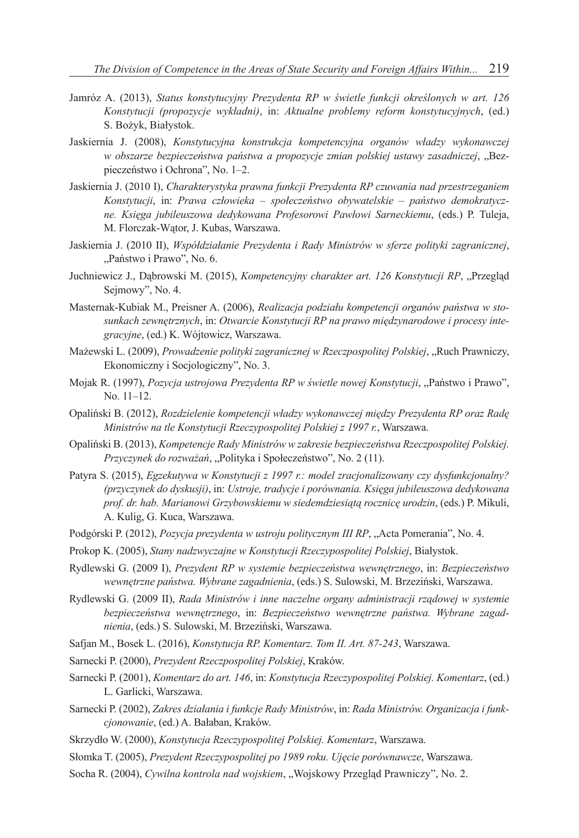- Jamróz A. (2013), *Status konstytucyjny Prezydenta RP w świetle funkcji określonych w art. 126 Konstytucji (propozycje wykładni)*, in: *Aktualne problemy reform konstytucyjnych*, (ed.) S. Bożyk, Białystok.
- Jaskiernia J. (2008), *Konstytucyjna konstrukcja kompetencyjna organów władzy wykonawczej w obszarze bezpieczeństwa państwa a propozycje zmian polskiej ustawy zasadniczej*, "Bezpieczeństwo i Ochrona", No. 1–2.
- Jaskiernia J. (2010 I), *Charakterystyka prawna funkcji Prezydenta RP czuwania nad przestrzeganiem Konstytucji*, in: *Prawa człowieka – społeczeństwo obywatelskie – państwo demokratyczne. Księga jubileuszowa dedykowana Profesorowi Pawłowi Sarneckiemu*, (eds.) P. Tuleja, M. Florczak-Wątor, J. Kubas, Warszawa.
- Jaskiernia J. (2010 II), *Współdziałanie Prezydenta i Rady Ministrów w sferze polityki zagranicznej*, "Państwo i Prawo", No. 6.
- Juchniewicz J., Dabrowski M. (2015), *Kompetencyjny charakter art. 126 Konstytucji RP*, "Przegląd Sejmowy", No. 4.
- Masternak-Kubiak M., Preisner A. (2006), *Realizacja podziału kompetencji organów państwa w stosunkach zewnętrznych*, in: *Otwarcie Konstytucji RP na prawo międzynarodowe i procesy integracyjne*, (ed.) K. Wójtowicz, Warszawa.
- Mażewski L. (2009), *Prowadzenie polityki zagranicznej w Rzeczpospolitej Polskiej*, "Ruch Prawniczy, Ekonomiczny i Socjologiczny", No. 3.
- Mojak R. (1997), *Pozycja ustrojowa Prezydenta RP w świetle nowej Konstytucji*, "Państwo i Prawo", No. 11–12.
- Opaliński B. (2012), *Rozdzielenie kompetencji władzy wykonawczej między Prezydenta RP oraz Radę Ministrów na tle Konstytucji Rzeczypospolitej Polskiej z 1997 r.*, Warszawa.
- Opaliński B. (2013), *Kompetencje Rady Ministrów w zakresie bezpieczeństwa Rzeczpospolitej Polskiej. Przyczynek do rozważań*, "Polityka i Społeczeństwo", No. 2 (11).
- Patyra S. (2015), *Egzekutywa w Konstytucji z 1997 r.: model zracjonalizowany czy dysfunkcjonalny? (przyczynek do dyskusji)*, in: *Ustroje, tradycje i porównania. Księga jubileuszowa dedykowana prof. dr. hab. Marianowi Grzybowskiemu w siedemdziesiątą rocznicę urodzin*, (eds.) P. Mikuli, A. Kulig, G. Kuca, Warszawa.
- Podgórski P. (2012), *Pozycja prezydenta w ustroju politycznym III RP*, "Acta Pomerania", No. 4.
- Prokop K. (2005), *Stany nadzwyczajne w Konstytucji Rzeczypospolitej Polskiej*, Białystok.
- Rydlewski G. (2009 I), *Prezydent RP w systemie bezpieczeństwa wewnętrznego*, in: *Bezpieczeństwo wewnętrzne państwa. Wybrane zagadnienia*, (eds.) S. Sulowski, M. Brzeziński, Warszawa.
- Rydlewski G. (2009 II), *Rada Ministrów i inne naczelne organy administracji rządowej w systemie bezpieczeństwa wewnętrznego*, in: *Bezpieczeństwo wewnętrzne państwa. Wybrane zagadnienia*, (eds.) S. Sulowski, M. Brzeziński, Warszawa.
- Safjan M., Bosek L. (2016), *Konstytucja RP. Komentarz. Tom II. Art. 87-243*, Warszawa.
- Sarnecki P. (2000), *Prezydent Rzeczpospolitej Polskiej*, Kraków.
- Sarnecki P. (2001), *Komentarz do art. 146*, in: *Konstytucja Rzeczypospolitej Polskiej. Komentarz*, (ed.) L. Garlicki, Warszawa.
- Sarnecki P. (2002), *Zakres działania i funkcje Rady Ministrów*, in: *Rada Ministrów. Organizacja i funkcjonowanie*, (ed.) A. Bałaban, Kraków.
- Skrzydło W. (2000), *Konstytucja Rzeczypospolitej Polskiej. Komentarz*, Warszawa.
- Słomka T. (2005), *Prezydent Rzeczypospolitej po 1989 roku. Ujęcie porównawcze*, Warszawa.
- Socha R. (2004), *Cywilna kontrola nad wojskiem*, "Wojskowy Przegląd Prawniczy", No. 2.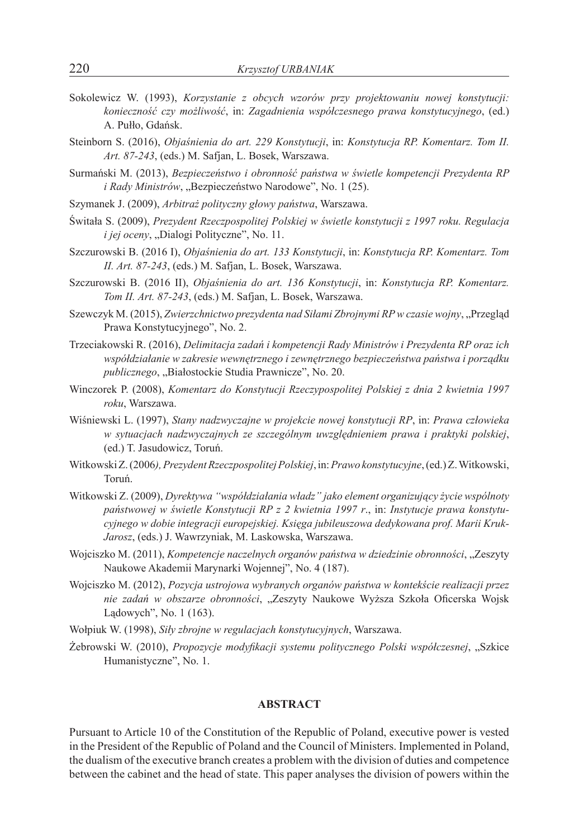- Sokolewicz W. (1993), *Korzystanie z obcych wzorów przy projektowaniu nowej konstytucji: konieczność czy możliwość*, in: *Zagadnienia współczesnego prawa konstytucyjnego*, (ed.) A. Pułło, Gdańsk.
- Steinborn S. (2016), *Objaśnienia do art. 229 Konstytucji*, in: *Konstytucja RP. Komentarz. Tom II. Art. 87-243*, (eds.) M. Safjan, L. Bosek, Warszawa.
- Surmański M. (2013), *Bezpieczeństwo i obronność państwa w świetle kompetencji Prezydenta RP i Rady Ministrów*, "Bezpieczeństwo Narodowe", No. 1 (25).
- Szymanek J. (2009), *Arbitraż polityczny głowy państwa*, Warszawa.
- Świtała S. (2009), *Prezydent Rzeczpospolitej Polskiej w świetle konstytucji z 1997 roku. Regulacja i jej oceny*, "Dialogi Polityczne", No. 11.
- Szczurowski B. (2016 I), *Objaśnienia do art. 133 Konstytucji*, in: *Konstytucja RP. Komentarz. Tom II. Art. 87-243*, (eds.) M. Safjan, L. Bosek, Warszawa.
- Szczurowski B. (2016 II), *Objaśnienia do art. 136 Konstytucji*, in: *Konstytucja RP. Komentarz. Tom II. Art. 87-243*, (eds.) M. Safjan, L. Bosek, Warszawa.
- Szewczyk M. (2015), *Zwierzchnictwo prezydenta nad Siłami Zbrojnymi RP w czasie wojny*, "Przegląd Prawa Konstytucyjnego", No. 2.
- Trzeciakowski R. (2016), *Delimitacja zadań i kompetencji Rady Ministrów i Prezydenta RP oraz ich współdziałanie w zakresie wewnętrznego i zewnętrznego bezpieczeństwa państwa i porządku publicznego*, "Białostockie Studia Prawnicze", No. 20.
- Winczorek P. (2008), *Komentarz do Konstytucji Rzeczypospolitej Polskiej z dnia 2 kwietnia 1997 roku*, Warszawa.
- Wiśniewski L. (1997), *Stany nadzwyczajne w projekcie nowej konstytucji RP*, in: *Prawa człowieka w sytuacjach nadzwyczajnych ze szczególnym uwzględnieniem prawa i praktyki polskiej*, (ed.) T. Jasudowicz, Toruń.
- Witkowski Z. (2006*), Prezydent Rzeczpospolitej Polskiej*, in: *Prawo konstytucyjne*, (ed.) Z.Witkowski, Toruń.
- Witkowski Z. (2009), *Dyrektywa "współdziałania władz" jako element organizujący życie wspólnoty państwowej w świetle Konstytucji RP z 2 kwietnia 1997 r*., in: *Instytucje prawa konstytucyjnego w dobie integracji europejskiej. Księga jubileuszowa dedykowana prof. Marii Kruk-Jarosz*, (eds.) J. Wawrzyniak, M. Laskowska, Warszawa.
- Wojciszko M. (2011), *Kompetencje naczelnych organów państwa w dziedzinie obronności*, "Zeszyty Naukowe Akademii Marynarki Wojennej", No. 4 (187).
- Wojciszko M. (2012), *Pozycja ustrojowa wybranych organów państwa w kontekście realizacji przez nie zadań w obszarze obronności*, "Zeszyty Naukowe Wyższa Szkoła Oficerska Wojsk Lądowych", No. 1 (163).
- Wołpiuk W. (1998), *Siły zbrojne w regulacjach konstytucyjnych*, Warszawa.
- Żebrowski W. (2010), *Propozycje modyfikacji systemu politycznego Polski współczesnej*, "Szkice Humanistyczne", No. 1.

#### **ABSTRACT**

Pursuant to Article 10 of the Constitution of the Republic of Poland, executive power is vested in the President of the Republic of Poland and the Council of Ministers. Implemented in Poland, the dualism of the executive branch creates a problem with the division of duties and competence between the cabinet and the head of state. This paper analyses the division of powers within the